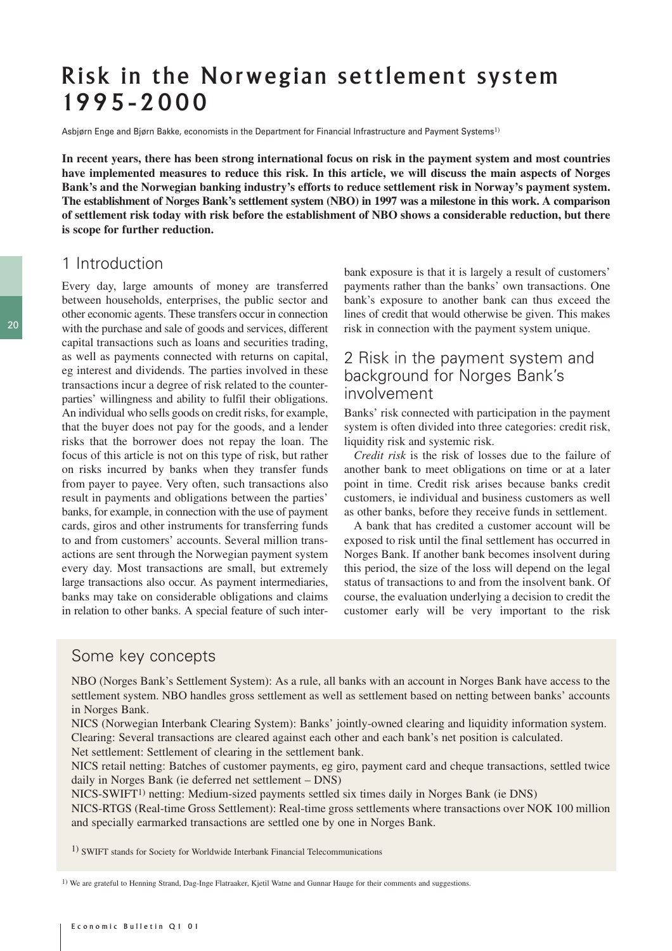# Risk in the Norwegian settlement system 1995-2000

Asbjørn Enge and Bjørn Bakke, economists in the Department for Financial Infrastructure and Payment Systems<sup>1)</sup>

**In recent years, there has been strong international focus on risk in the payment system and most countries have implemented measures to reduce this risk. In this article, we will discuss the main aspects of Norges Bank's and the Norwegian banking industry's efforts to reduce settlement risk in Norway's payment system. The establishment of Norges Bank's settlement system (NBO) in 1997 was a milestone in this work. A comparison of settlement risk today with risk before the establishment of NBO shows a considerable reduction, but there is scope for further reduction.**

## 1 Introduction

Every day, large amounts of money are transferred between households, enterprises, the public sector and other economic agents. These transfers occur in connection with the purchase and sale of goods and services, different capital transactions such as loans and securities trading, as well as payments connected with returns on capital, eg interest and dividends. The parties involved in these transactions incur a degree of risk related to the counterparties' willingness and ability to fulfil their obligations. An individual who sells goods on credit risks, for example, that the buyer does not pay for the goods, and a lender risks that the borrower does not repay the loan. The focus of this article is not on this type of risk, but rather on risks incurred by banks when they transfer funds from payer to payee. Very often, such transactions also result in payments and obligations between the parties' banks, for example, in connection with the use of payment cards, giros and other instruments for transferring funds to and from customers' accounts. Several million transactions are sent through the Norwegian payment system every day. Most transactions are small, but extremely large transactions also occur. As payment intermediaries, banks may take on considerable obligations and claims in relation to other banks. A special feature of such inter-

bank exposure is that it is largely a result of customers' payments rather than the banks' own transactions. One bank's exposure to another bank can thus exceed the lines of credit that would otherwise be given. This makes risk in connection with the payment system unique.

## 2 Risk in the payment system and background for Norges Bank's involvement

Banks' risk connected with participation in the payment system is often divided into three categories: credit risk, liquidity risk and systemic risk.

*Credit risk* is the risk of losses due to the failure of another bank to meet obligations on time or at a later point in time. Credit risk arises because banks credit customers, ie individual and business customers as well as other banks, before they receive funds in settlement.

A bank that has credited a customer account will be exposed to risk until the final settlement has occurred in Norges Bank. If another bank becomes insolvent during this period, the size of the loss will depend on the legal status of transactions to and from the insolvent bank. Of course, the evaluation underlying a decision to credit the customer early will be very important to the risk

#### Some key concepts

NBO (Norges Bank's Settlement System): As a rule, all banks with an account in Norges Bank have access to the settlement system. NBO handles gross settlement as well as settlement based on netting between banks' accounts in Norges Bank.

NICS (Norwegian Interbank Clearing System): Banks' jointly-owned clearing and liquidity information system. Clearing: Several transactions are cleared against each other and each bank's net position is calculated.

Net settlement: Settlement of clearing in the settlement bank.

NICS retail netting: Batches of customer payments, eg giro, payment card and cheque transactions, settled twice daily in Norges Bank (ie deferred net settlement – DNS)

NICS-SWIFT1) netting: Medium-sized payments settled six times daily in Norges Bank (ie DNS)

NICS-RTGS (Real-time Gross Settlement): Real-time gross settlements where transactions over NOK 100 million and specially earmarked transactions are settled one by one in Norges Bank.

1) SWIFT stands for Society for Worldwide Interbank Financial Telecommunications

1) We are grateful to Henning Strand, Dag-Inge Flatraaker, Kjetil Watne and Gunnar Hauge for their comments and suggestions.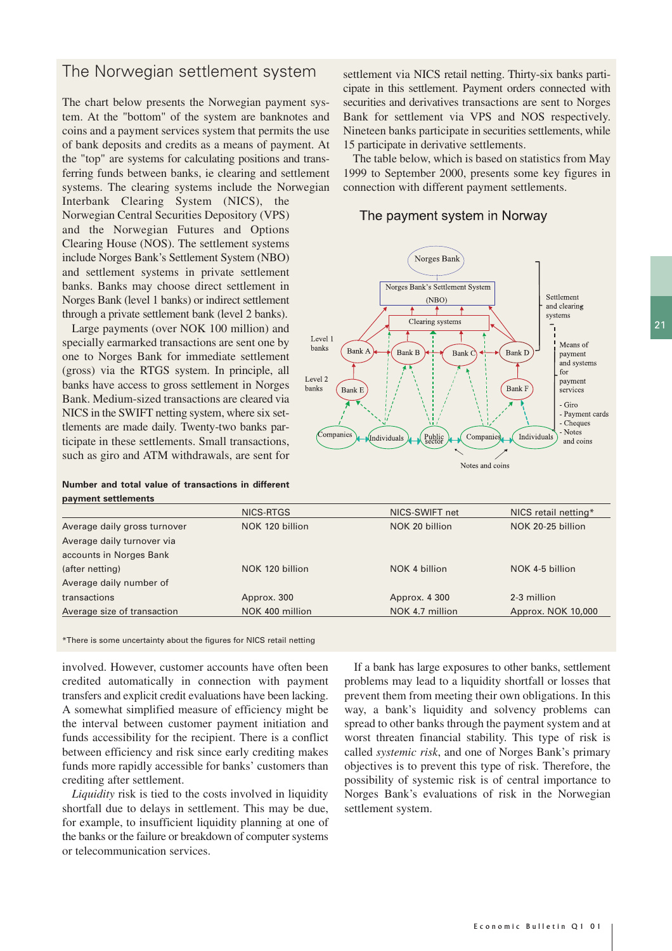### The Norwegian settlement system

The chart below presents the Norwegian payment system. At the "bottom" of the system are banknotes and coins and a payment services system that permits the use of bank deposits and credits as a means of payment. At the "top" are systems for calculating positions and transferring funds between banks, ie clearing and settlement systems. The clearing systems include the Norwegian

Interbank Clearing System (NICS), the Norwegian Central Securities Depository (VPS) and the Norwegian Futures and Options Clearing House (NOS). The settlement systems include Norges Bank's Settlement System (NBO) and settlement systems in private settlement banks. Banks may choose direct settlement in Norges Bank (level 1 banks) or indirect settlement through a private settlement bank (level 2 banks).

Large payments (over NOK 100 million) and specially earmarked transactions are sent one by one to Norges Bank for immediate settlement (gross) via the RTGS system. In principle, all banks have access to gross settlement in Norges Bank. Medium-sized transactions are cleared via NICS in the SWIFT netting system, where six settlements are made daily. Twenty-two banks participate in these settlements. Small transactions, such as giro and ATM withdrawals, are sent for

**Number and total value of transactions in different payment settlements**

settlement via NICS retail netting. Thirty-six banks participate in this settlement. Payment orders connected with securities and derivatives transactions are sent to Norges Bank for settlement via VPS and NOS respectively. Nineteen banks participate in securities settlements, while 15 participate in derivative settlements.

The table below, which is based on statistics from May 1999 to September 2000, presents some key figures in connection with different payment settlements.

The payment system in Norway



|                              | NICS-RTGS       | NICS-SWIFT net  | NICS retail netting* |
|------------------------------|-----------------|-----------------|----------------------|
| Average daily gross turnover | NOK 120 billion | NOK 20 billion  | NOK 20-25 billion    |
| Average daily turnover via   |                 |                 |                      |
| accounts in Norges Bank      |                 |                 |                      |
| (after netting)              | NOK 120 billion | NOK 4 billion   | NOK 4-5 billion      |
| Average daily number of      |                 |                 |                      |
| transactions                 | Approx. 300     | Approx. 4 300   | 2-3 million          |
| Average size of transaction  | NOK 400 million | NOK 4.7 million | Approx. NOK 10,000   |
|                              |                 |                 |                      |

\*There is some uncertainty about the figures for NICS retail netting

involved. However, customer accounts have often been credited automatically in connection with payment transfers and explicit credit evaluations have been lacking. A somewhat simplified measure of efficiency might be the interval between customer payment initiation and funds accessibility for the recipient. There is a conflict between efficiency and risk since early crediting makes funds more rapidly accessible for banks' customers than crediting after settlement.

*Liquidity* risk is tied to the costs involved in liquidity shortfall due to delays in settlement. This may be due, for example, to insufficient liquidity planning at one of the banks or the failure or breakdown of computer systems or telecommunication services.

If a bank has large exposures to other banks, settlement problems may lead to a liquidity shortfall or losses that prevent them from meeting their own obligations. In this way, a bank's liquidity and solvency problems can spread to other banks through the payment system and at worst threaten financial stability. This type of risk is called *systemic risk*, and one of Norges Bank's primary objectives is to prevent this type of risk. Therefore, the possibility of systemic risk is of central importance to Norges Bank's evaluations of risk in the Norwegian settlement system.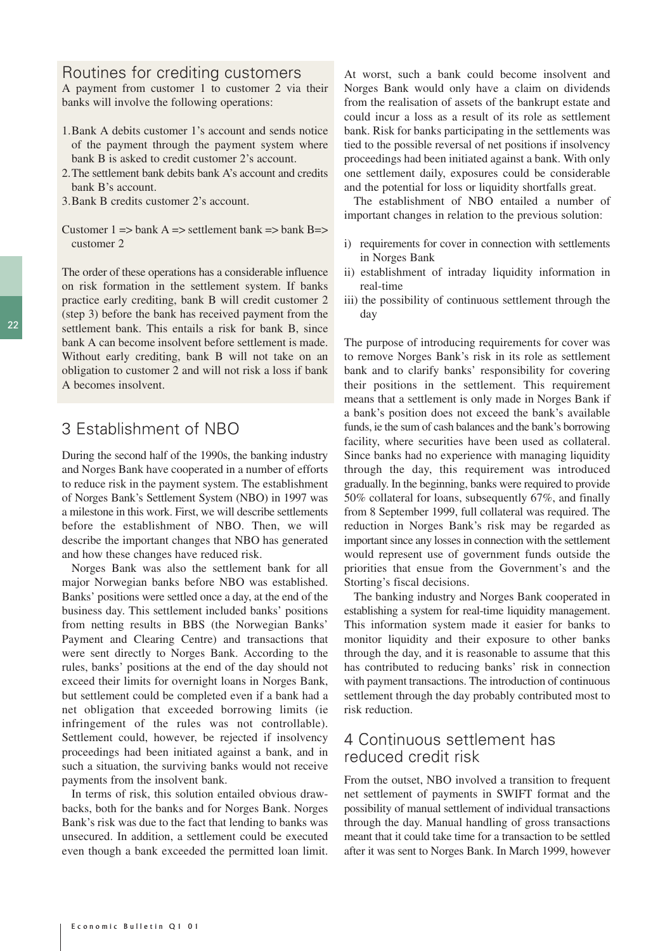## Routines for crediting customers

A payment from customer 1 to customer 2 via their banks will involve the following operations:

- 1.Bank A debits customer 1's account and sends notice of the payment through the payment system where bank B is asked to credit customer 2's account.
- 2.The settlement bank debits bank A's account and credits bank B's account.
- 3.Bank B credits customer 2's account.
- Customer  $1 \Rightarrow$  bank  $A \Rightarrow$  settlement bank  $\Rightarrow$  bank  $B \Rightarrow$ customer 2

The order of these operations has a considerable influence on risk formation in the settlement system. If banks practice early crediting, bank B will credit customer 2 (step 3) before the bank has received payment from the settlement bank. This entails a risk for bank B, since bank A can become insolvent before settlement is made. Without early crediting, bank B will not take on an obligation to customer 2 and will not risk a loss if bank A becomes insolvent.

## 3 Establishment of NBO

During the second half of the 1990s, the banking industry and Norges Bank have cooperated in a number of efforts to reduce risk in the payment system. The establishment of Norges Bank's Settlement System (NBO) in 1997 was a milestone in this work. First, we will describe settlements before the establishment of NBO. Then, we will describe the important changes that NBO has generated and how these changes have reduced risk.

Norges Bank was also the settlement bank for all major Norwegian banks before NBO was established. Banks' positions were settled once a day, at the end of the business day. This settlement included banks' positions from netting results in BBS (the Norwegian Banks' Payment and Clearing Centre) and transactions that were sent directly to Norges Bank. According to the rules, banks' positions at the end of the day should not exceed their limits for overnight loans in Norges Bank, but settlement could be completed even if a bank had a net obligation that exceeded borrowing limits (ie infringement of the rules was not controllable). Settlement could, however, be rejected if insolvency proceedings had been initiated against a bank, and in such a situation, the surviving banks would not receive payments from the insolvent bank.

In terms of risk, this solution entailed obvious drawbacks, both for the banks and for Norges Bank. Norges Bank's risk was due to the fact that lending to banks was unsecured. In addition, a settlement could be executed even though a bank exceeded the permitted loan limit.

At worst, such a bank could become insolvent and Norges Bank would only have a claim on dividends from the realisation of assets of the bankrupt estate and could incur a loss as a result of its role as settlement bank. Risk for banks participating in the settlements was tied to the possible reversal of net positions if insolvency proceedings had been initiated against a bank. With only one settlement daily, exposures could be considerable and the potential for loss or liquidity shortfalls great.

The establishment of NBO entailed a number of important changes in relation to the previous solution:

- i) requirements for cover in connection with settlements in Norges Bank
- ii) establishment of intraday liquidity information in real-time
- iii) the possibility of continuous settlement through the day

The purpose of introducing requirements for cover was to remove Norges Bank's risk in its role as settlement bank and to clarify banks' responsibility for covering their positions in the settlement. This requirement means that a settlement is only made in Norges Bank if a bank's position does not exceed the bank's available funds, ie the sum of cash balances and the bank's borrowing facility, where securities have been used as collateral. Since banks had no experience with managing liquidity through the day, this requirement was introduced gradually. In the beginning, banks were required to provide 50% collateral for loans, subsequently 67%, and finally from 8 September 1999, full collateral was required. The reduction in Norges Bank's risk may be regarded as important since any losses in connection with the settlement would represent use of government funds outside the priorities that ensue from the Government's and the Storting's fiscal decisions.

The banking industry and Norges Bank cooperated in establishing a system for real-time liquidity management. This information system made it easier for banks to monitor liquidity and their exposure to other banks through the day, and it is reasonable to assume that this has contributed to reducing banks' risk in connection with payment transactions. The introduction of continuous settlement through the day probably contributed most to risk reduction.

## 4 Continuous settlement has reduced credit risk

From the outset, NBO involved a transition to frequent net settlement of payments in SWIFT format and the possibility of manual settlement of individual transactions through the day. Manual handling of gross transactions meant that it could take time for a transaction to be settled after it was sent to Norges Bank. In March 1999, however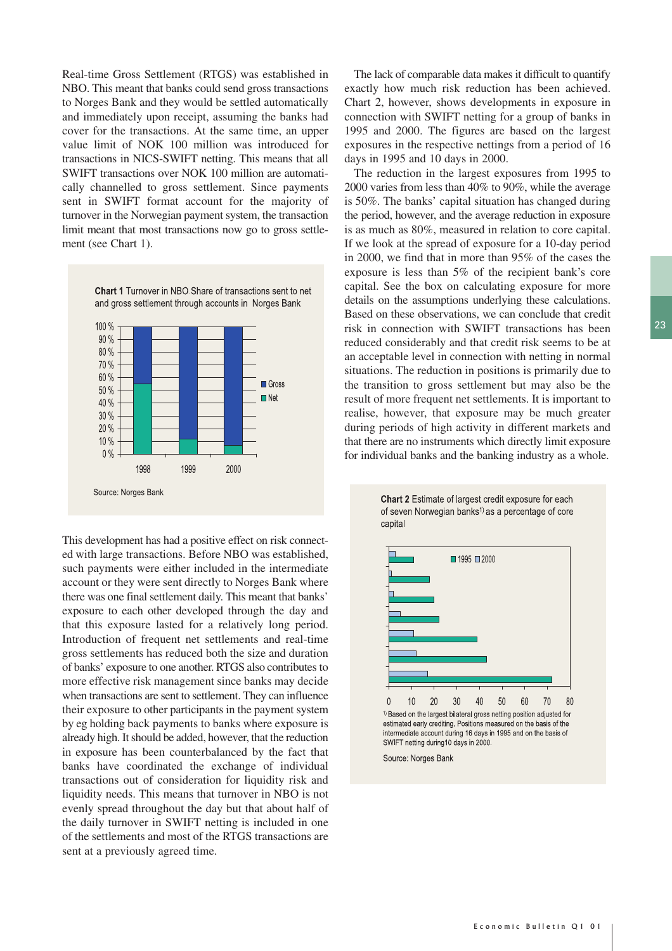Real-time Gross Settlement (RTGS) was established in NBO. This meant that banks could send gross transactions to Norges Bank and they would be settled automatically and immediately upon receipt, assuming the banks had cover for the transactions. At the same time, an upper value limit of NOK 100 million was introduced for transactions in NICS-SWIFT netting. This means that all SWIFT transactions over NOK 100 million are automatically channelled to gross settlement. Since payments sent in SWIFT format account for the majority of turnover in the Norwegian payment system, the transaction limit meant that most transactions now go to gross settlement (see Chart 1).



This development has had a positive effect on risk connected with large transactions. Before NBO was established, such payments were either included in the intermediate account or they were sent directly to Norges Bank where there was one final settlement daily. This meant that banks' exposure to each other developed through the day and that this exposure lasted for a relatively long period. Introduction of frequent net settlements and real-time gross settlements has reduced both the size and duration of banks' exposure to one another. RTGS also contributes to more effective risk management since banks may decide when transactions are sent to settlement. They can influence their exposure to other participants in the payment system by eg holding back payments to banks where exposure is already high. It should be added, however, that the reduction in exposure has been counterbalanced by the fact that banks have coordinated the exchange of individual transactions out of consideration for liquidity risk and liquidity needs. This means that turnover in NBO is not evenly spread throughout the day but that about half of the daily turnover in SWIFT netting is included in one of the settlements and most of the RTGS transactions are sent at a previously agreed time.

The lack of comparable data makes it difficult to quantify exactly how much risk reduction has been achieved. Chart 2, however, shows developments in exposure in connection with SWIFT netting for a group of banks in 1995 and 2000. The figures are based on the largest exposures in the respective nettings from a period of 16 days in 1995 and 10 days in 2000.

The reduction in the largest exposures from 1995 to 2000 varies from less than 40% to 90%, while the average is 50%. The banks' capital situation has changed during the period, however, and the average reduction in exposure is as much as 80%, measured in relation to core capital. If we look at the spread of exposure for a 10-day period in 2000, we find that in more than 95% of the cases the exposure is less than 5% of the recipient bank's core capital. See the box on calculating exposure for more details on the assumptions underlying these calculations. Based on these observations, we can conclude that credit risk in connection with SWIFT transactions has been reduced considerably and that credit risk seems to be at an acceptable level in connection with netting in normal situations. The reduction in positions is primarily due to the transition to gross settlement but may also be the result of more frequent net settlements. It is important to realise, however, that exposure may be much greater during periods of high activity in different markets and that there are no instruments which directly limit exposure for individual banks and the banking industry as a whole.



Chart 2 Estimate of largest credit exposure for each of seven Norwegian banks<sup>1)</sup> as a percentage of core

intermediate account during 16 days in 1995 and on the basis of SWIFT netting during10 days in 2000.

Source: Norges Bank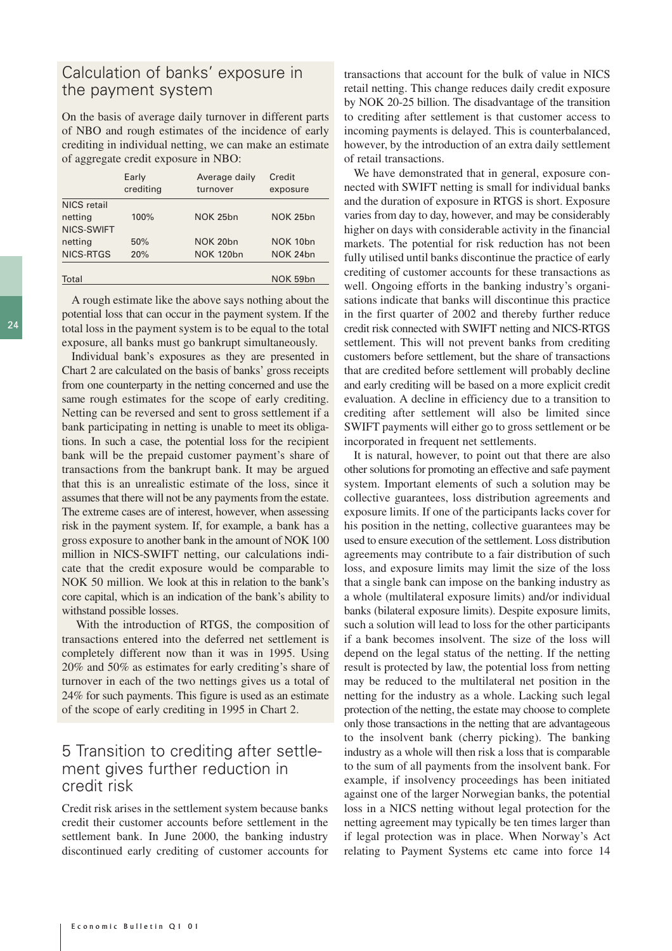## Calculation of banks' exposure in the payment system

On the basis of average daily turnover in different parts of NBO and rough estimates of the incidence of early crediting in individual netting, we can make an estimate of aggregate credit exposure in NBO:

|             | Early<br>crediting | Average daily<br>turnover | Credit<br>exposure |
|-------------|--------------------|---------------------------|--------------------|
| NICS retail |                    |                           |                    |
| netting     | 100%               | NOK 25bn                  | NOK 25bn           |
| NICS-SWIFT  |                    |                           |                    |
| netting     | 50%                | NOK 20bn                  | NOK 10bn           |
| NICS-RTGS   | 20%                | <b>NOK 120bn</b>          | NOK 24bn           |
|             |                    |                           |                    |
| Total       |                    |                           | NOK 59bn           |

A rough estimate like the above says nothing about the potential loss that can occur in the payment system. If the total loss in the payment system is to be equal to the total exposure, all banks must go bankrupt simultaneously.

Individual bank's exposures as they are presented in Chart 2 are calculated on the basis of banks' gross receipts from one counterparty in the netting concerned and use the same rough estimates for the scope of early crediting. Netting can be reversed and sent to gross settlement if a bank participating in netting is unable to meet its obligations. In such a case, the potential loss for the recipient bank will be the prepaid customer payment's share of transactions from the bankrupt bank. It may be argued that this is an unrealistic estimate of the loss, since it assumes that there will not be any payments from the estate. The extreme cases are of interest, however, when assessing risk in the payment system. If, for example, a bank has a gross exposure to another bank in the amount of NOK 100 million in NICS-SWIFT netting, our calculations indicate that the credit exposure would be comparable to NOK 50 million. We look at this in relation to the bank's core capital, which is an indication of the bank's ability to withstand possible losses.

With the introduction of RTGS, the composition of transactions entered into the deferred net settlement is completely different now than it was in 1995. Using 20% and 50% as estimates for early crediting's share of turnover in each of the two nettings gives us a total of 24% for such payments. This figure is used as an estimate of the scope of early crediting in 1995 in Chart 2.

### 5 Transition to crediting after settlement gives further reduction in credit risk

Credit risk arises in the settlement system because banks credit their customer accounts before settlement in the settlement bank. In June 2000, the banking industry discontinued early crediting of customer accounts for

transactions that account for the bulk of value in NICS retail netting. This change reduces daily credit exposure by NOK 20-25 billion. The disadvantage of the transition to crediting after settlement is that customer access to incoming payments is delayed. This is counterbalanced, however, by the introduction of an extra daily settlement of retail transactions.

We have demonstrated that in general, exposure connected with SWIFT netting is small for individual banks and the duration of exposure in RTGS is short. Exposure varies from day to day, however, and may be considerably higher on days with considerable activity in the financial markets. The potential for risk reduction has not been fully utilised until banks discontinue the practice of early crediting of customer accounts for these transactions as well. Ongoing efforts in the banking industry's organisations indicate that banks will discontinue this practice in the first quarter of 2002 and thereby further reduce credit risk connected with SWIFT netting and NICS-RTGS settlement. This will not prevent banks from crediting customers before settlement, but the share of transactions that are credited before settlement will probably decline and early crediting will be based on a more explicit credit evaluation. A decline in efficiency due to a transition to crediting after settlement will also be limited since SWIFT payments will either go to gross settlement or be incorporated in frequent net settlements.

It is natural, however, to point out that there are also other solutions for promoting an effective and safe payment system. Important elements of such a solution may be collective guarantees, loss distribution agreements and exposure limits. If one of the participants lacks cover for his position in the netting, collective guarantees may be used to ensure execution of the settlement. Loss distribution agreements may contribute to a fair distribution of such loss, and exposure limits may limit the size of the loss that a single bank can impose on the banking industry as a whole (multilateral exposure limits) and/or individual banks (bilateral exposure limits). Despite exposure limits, such a solution will lead to loss for the other participants if a bank becomes insolvent. The size of the loss will depend on the legal status of the netting. If the netting result is protected by law, the potential loss from netting may be reduced to the multilateral net position in the netting for the industry as a whole. Lacking such legal protection of the netting, the estate may choose to complete only those transactions in the netting that are advantageous to the insolvent bank (cherry picking). The banking industry as a whole will then risk a loss that is comparable to the sum of all payments from the insolvent bank. For example, if insolvency proceedings has been initiated against one of the larger Norwegian banks, the potential loss in a NICS netting without legal protection for the netting agreement may typically be ten times larger than if legal protection was in place. When Norway's Act relating to Payment Systems etc came into force 14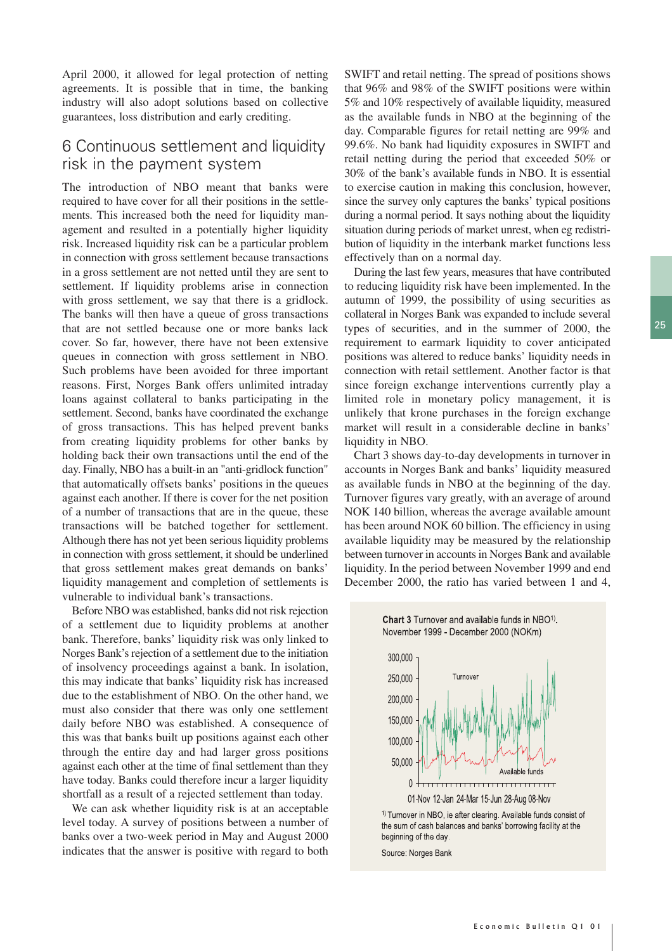April 2000, it allowed for legal protection of netting agreements. It is possible that in time, the banking industry will also adopt solutions based on collective guarantees, loss distribution and early crediting.

## 6 Continuous settlement and liquidity risk in the payment system

The introduction of NBO meant that banks were required to have cover for all their positions in the settlements. This increased both the need for liquidity management and resulted in a potentially higher liquidity risk. Increased liquidity risk can be a particular problem in connection with gross settlement because transactions in a gross settlement are not netted until they are sent to settlement. If liquidity problems arise in connection with gross settlement, we say that there is a gridlock. The banks will then have a queue of gross transactions that are not settled because one or more banks lack cover. So far, however, there have not been extensive queues in connection with gross settlement in NBO. Such problems have been avoided for three important reasons. First, Norges Bank offers unlimited intraday loans against collateral to banks participating in the settlement. Second, banks have coordinated the exchange of gross transactions. This has helped prevent banks from creating liquidity problems for other banks by holding back their own transactions until the end of the day. Finally, NBO has a built-in an "anti-gridlock function" that automatically offsets banks' positions in the queues against each another. If there is cover for the net position of a number of transactions that are in the queue, these transactions will be batched together for settlement. Although there has not yet been serious liquidity problems in connection with gross settlement, it should be underlined that gross settlement makes great demands on banks' liquidity management and completion of settlements is vulnerable to individual bank's transactions.

Before NBO was established, banks did not risk rejection of a settlement due to liquidity problems at another bank. Therefore, banks' liquidity risk was only linked to Norges Bank's rejection of a settlement due to the initiation of insolvency proceedings against a bank. In isolation, this may indicate that banks' liquidity risk has increased due to the establishment of NBO. On the other hand, we must also consider that there was only one settlement daily before NBO was established. A consequence of this was that banks built up positions against each other through the entire day and had larger gross positions against each other at the time of final settlement than they have today. Banks could therefore incur a larger liquidity shortfall as a result of a rejected settlement than today.

We can ask whether liquidity risk is at an acceptable level today. A survey of positions between a number of banks over a two-week period in May and August 2000 indicates that the answer is positive with regard to both

SWIFT and retail netting. The spread of positions shows that 96% and 98% of the SWIFT positions were within 5% and 10% respectively of available liquidity, measured as the available funds in NBO at the beginning of the day. Comparable figures for retail netting are 99% and 99.6%. No bank had liquidity exposures in SWIFT and retail netting during the period that exceeded 50% or 30% of the bank's available funds in NBO. It is essential to exercise caution in making this conclusion, however, since the survey only captures the banks' typical positions during a normal period. It says nothing about the liquidity situation during periods of market unrest, when eg redistribution of liquidity in the interbank market functions less effectively than on a normal day.

During the last few years, measures that have contributed to reducing liquidity risk have been implemented. In the autumn of 1999, the possibility of using securities as collateral in Norges Bank was expanded to include several types of securities, and in the summer of 2000, the requirement to earmark liquidity to cover anticipated positions was altered to reduce banks' liquidity needs in connection with retail settlement. Another factor is that since foreign exchange interventions currently play a limited role in monetary policy management, it is unlikely that krone purchases in the foreign exchange market will result in a considerable decline in banks' liquidity in NBO.

Chart 3 shows day-to-day developments in turnover in accounts in Norges Bank and banks' liquidity measured as available funds in NBO at the beginning of the day. Turnover figures vary greatly, with an average of around NOK 140 billion, whereas the average available amount has been around NOK 60 billion. The efficiency in using available liquidity may be measured by the relationship between turnover in accounts in Norges Bank and available liquidity. In the period between November 1999 and end December 2000, the ratio has varied between 1 and 4,



Chart 3 Turnover and available funds in NBO<sup>1)</sup>.

<sup>1)</sup> Turnover in NBO, ie after clearing. Available funds consist of the sum of cash balances and banks' borrowing facility at the beginning of the day.

Source: Norges Bank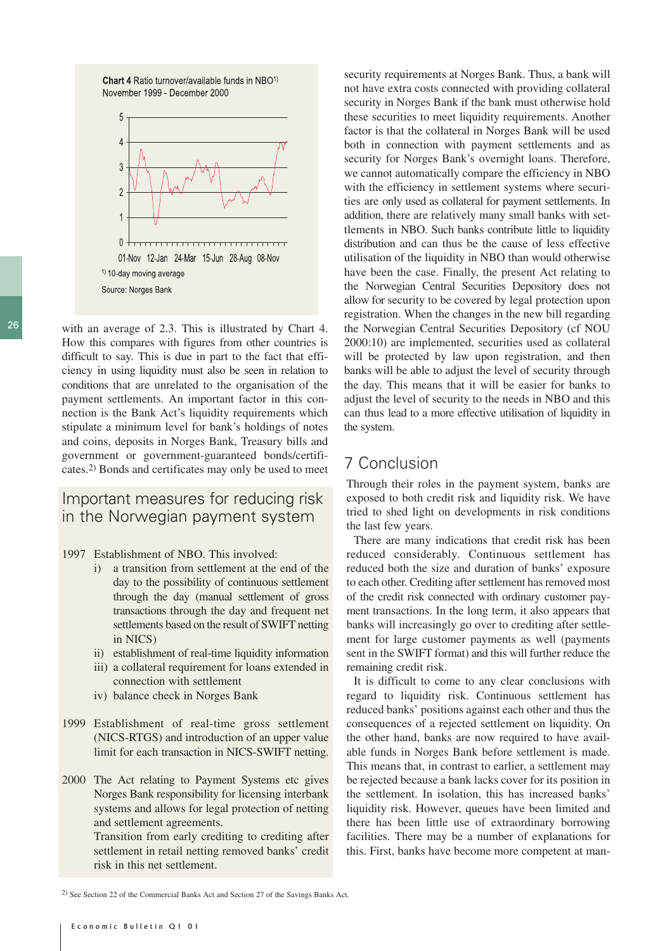Chart 4 Ratio turnover/available funds in NBO<sup>1)</sup> November 1999 - December 2000



26 with an average of 2.3. This is illustrated by Chart 4. How this compares with figures from other countries is difficult to say. This is due in part to the fact that efficiency in using liquidity must also be seen in relation to conditions that are unrelated to the organisation of the payment settlements. An important factor in this connection is the Bank Act's liquidity requirements which stipulate a minimum level for bank's holdings of notes and coins, deposits in Norges Bank, Treasury bills and government or government-guaranteed bonds/certificates.2) Bonds and certificates may only be used to meet

#### Important measures for reducing risk in the Norwegian payment system

- 1997 Establishment of NBO. This involved:
	- i) a transition from settlement at the end of the day to the possibility of continuous settlement through the day (manual settlement of gross transactions through the day and frequent net settlements based on the result of SWIFT netting in NICS)
	- ii) establishment of real-time liquidity information
	- iii) a collateral requirement for loans extended in connection with settlement
	- iv) balance check in Norges Bank
- 1999 Establishment of real-time gross settlement (NICS-RTGS) and introduction of an upper value limit for each transaction in NICS-SWIFT netting.
- 2000 The Act relating to Payment Systems etc gives Norges Bank responsibility for licensing interbank systems and allows for legal protection of netting and settlement agreements.

Transition from early crediting to crediting after settlement in retail netting removed banks' credit risk in this net settlement.

security requirements at Norges Bank. Thus, a bank will not have extra costs connected with providing collateral security in Norges Bank if the bank must otherwise hold these securities to meet liquidity requirements. Another factor is that the collateral in Norges Bank will be used both in connection with payment settlements and as security for Norges Bank's overnight loans. Therefore, we cannot automatically compare the efficiency in NBO with the efficiency in settlement systems where securities are only used as collateral for payment settlements. In addition, there are relatively many small banks with settlements in NBO. Such banks contribute little to liquidity distribution and can thus be the cause of less effective utilisation of the liquidity in NBO than would otherwise have been the case. Finally, the present Act relating to the Norwegian Central Securities Depository does not allow for security to be covered by legal protection upon registration. When the changes in the new bill regarding the Norwegian Central Securities Depository (cf NOU 2000:10) are implemented, securities used as collateral will be protected by law upon registration, and then banks will be able to adjust the level of security through the day. This means that it will be easier for banks to adjust the level of security to the needs in NBO and this can thus lead to a more effective utilisation of liquidity in the system.

## 7 Conclusion

Through their roles in the payment system, banks are exposed to both credit risk and liquidity risk. We have tried to shed light on developments in risk conditions the last few years.

There are many indications that credit risk has been reduced considerably. Continuous settlement has reduced both the size and duration of banks' exposure to each other. Crediting after settlement has removed most of the credit risk connected with ordinary customer payment transactions. In the long term, it also appears that banks will increasingly go over to crediting after settlement for large customer payments as well (payments sent in the SWIFT format) and this will further reduce the remaining credit risk.

It is difficult to come to any clear conclusions with regard to liquidity risk. Continuous settlement has reduced banks' positions against each other and thus the consequences of a rejected settlement on liquidity. On the other hand, banks are now required to have available funds in Norges Bank before settlement is made. This means that, in contrast to earlier, a settlement may be rejected because a bank lacks cover for its position in the settlement. In isolation, this has increased banks' liquidity risk. However, queues have been limited and there has been little use of extraordinary borrowing facilities. There may be a number of explanations for this. First, banks have become more competent at man-

<sup>2)</sup> See Section 22 of the Commercial Banks Act and Section 27 of the Savings Banks Act.